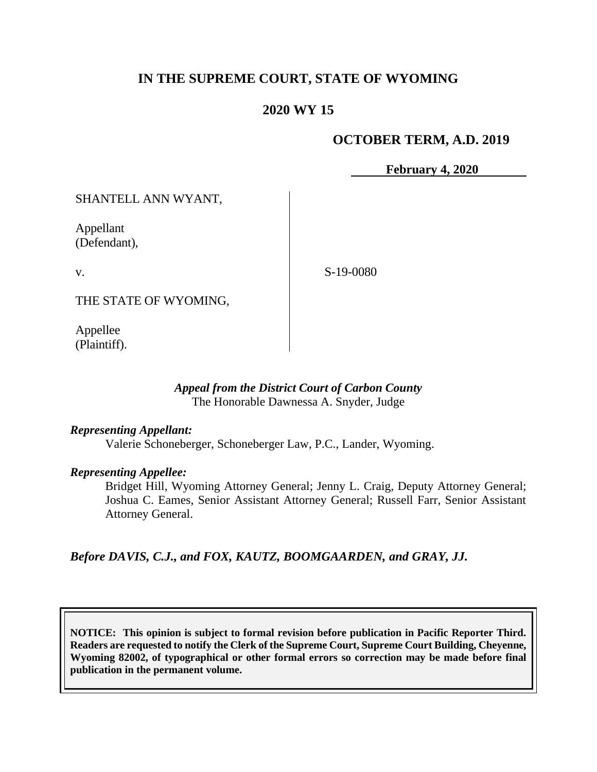# **IN THE SUPREME COURT, STATE OF WYOMING**

# **2020 WY 15**

## **OCTOBER TERM, A.D. 2019**

**February 4, 2020**

SHANTELL ANN WYANT,

Appellant (Defendant),

v.

S-19-0080

THE STATE OF WYOMING,

Appellee (Plaintiff).

### *Appeal from the District Court of Carbon County* The Honorable Dawnessa A. Snyder, Judge

#### *Representing Appellant:*

Valerie Schoneberger, Schoneberger Law, P.C., Lander, Wyoming.

#### *Representing Appellee:*

Bridget Hill, Wyoming Attorney General; Jenny L. Craig, Deputy Attorney General; Joshua C. Eames, Senior Assistant Attorney General; Russell Farr, Senior Assistant Attorney General.

*Before DAVIS, C.J., and FOX, KAUTZ, BOOMGAARDEN, and GRAY, JJ.*

**NOTICE: This opinion is subject to formal revision before publication in Pacific Reporter Third. Readers are requested to notify the Clerk of the Supreme Court, Supreme Court Building, Cheyenne, Wyoming 82002, of typographical or other formal errors so correction may be made before final publication in the permanent volume.**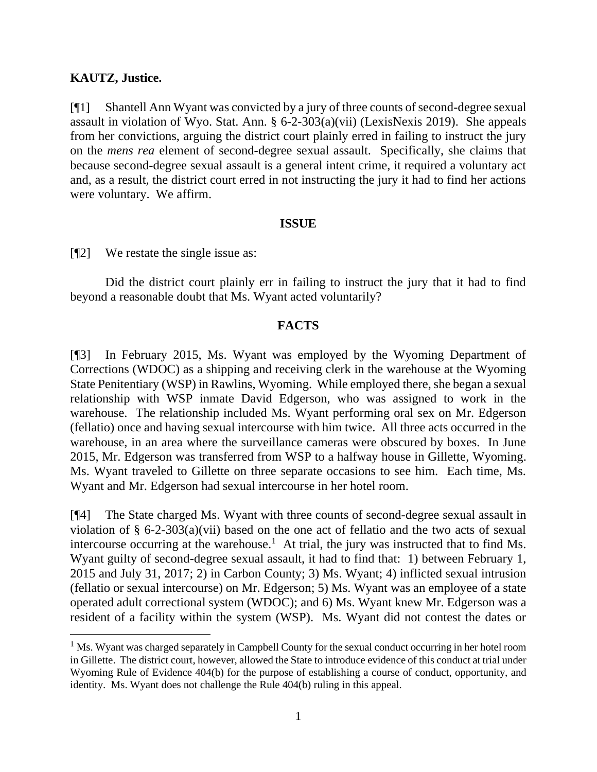#### **KAUTZ, Justice.**

[¶1] Shantell Ann Wyant was convicted by a jury of three counts of second-degree sexual assault in violation of Wyo. Stat. Ann. § 6-2-303(a)(vii) (LexisNexis 2019). She appeals from her convictions, arguing the district court plainly erred in failing to instruct the jury on the *mens rea* element of second-degree sexual assault. Specifically, she claims that because second-degree sexual assault is a general intent crime, it required a voluntary act and, as a result, the district court erred in not instructing the jury it had to find her actions were voluntary. We affirm.

#### **ISSUE**

[¶2] We restate the single issue as:

Did the district court plainly err in failing to instruct the jury that it had to find beyond a reasonable doubt that Ms. Wyant acted voluntarily?

### **FACTS**

[¶3] In February 2015, Ms. Wyant was employed by the Wyoming Department of Corrections (WDOC) as a shipping and receiving clerk in the warehouse at the Wyoming State Penitentiary (WSP) in Rawlins, Wyoming. While employed there, she began a sexual relationship with WSP inmate David Edgerson, who was assigned to work in the warehouse. The relationship included Ms. Wyant performing oral sex on Mr. Edgerson (fellatio) once and having sexual intercourse with him twice. All three acts occurred in the warehouse, in an area where the surveillance cameras were obscured by boxes. In June 2015, Mr. Edgerson was transferred from WSP to a halfway house in Gillette, Wyoming. Ms. Wyant traveled to Gillette on three separate occasions to see him. Each time, Ms. Wyant and Mr. Edgerson had sexual intercourse in her hotel room.

[¶4] The State charged Ms. Wyant with three counts of second-degree sexual assault in violation of  $\S$  6-2-303(a)(vii) based on the one act of fellatio and the two acts of sexual intercourse occurring at the warehouse.<sup>1</sup> At trial, the jury was instructed that to find Ms. Wyant guilty of second-degree sexual assault, it had to find that: 1) between February 1, 2015 and July 31, 2017; 2) in Carbon County; 3) Ms. Wyant; 4) inflicted sexual intrusion (fellatio or sexual intercourse) on Mr. Edgerson; 5) Ms. Wyant was an employee of a state operated adult correctional system (WDOC); and 6) Ms. Wyant knew Mr. Edgerson was a resident of a facility within the system (WSP). Ms. Wyant did not contest the dates or

 $<sup>1</sup>$  Ms. Wyant was charged separately in Campbell County for the sexual conduct occurring in her hotel room</sup> in Gillette. The district court, however, allowed the State to introduce evidence of this conduct at trial under Wyoming Rule of Evidence 404(b) for the purpose of establishing a course of conduct, opportunity, and identity. Ms. Wyant does not challenge the Rule 404(b) ruling in this appeal.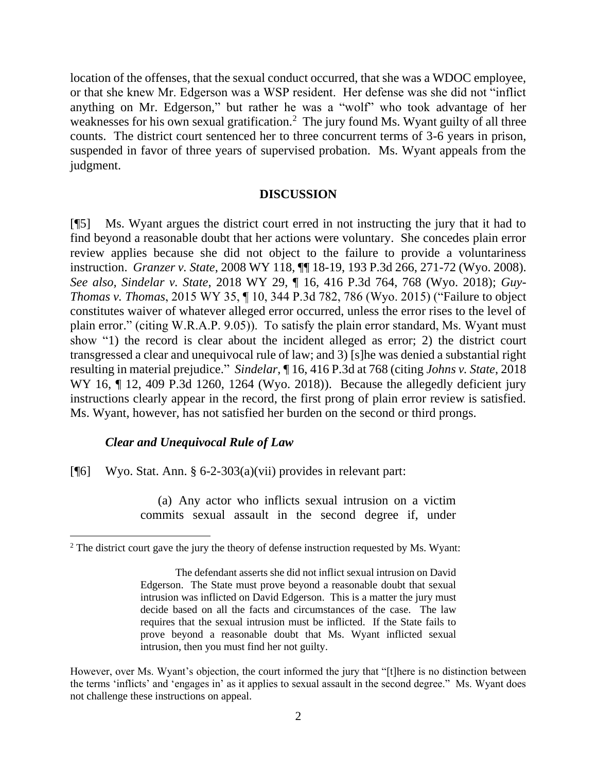location of the offenses, that the sexual conduct occurred, that she was a WDOC employee, or that she knew Mr. Edgerson was a WSP resident. Her defense was she did not "inflict anything on Mr. Edgerson," but rather he was a "wolf" who took advantage of her weaknesses for his own sexual gratification.<sup>2</sup> The jury found Ms. Wyant guilty of all three counts. The district court sentenced her to three concurrent terms of 3-6 years in prison, suspended in favor of three years of supervised probation. Ms. Wyant appeals from the judgment.

#### **DISCUSSION**

[¶5] Ms. Wyant argues the district court erred in not instructing the jury that it had to find beyond a reasonable doubt that her actions were voluntary. She concedes plain error review applies because she did not object to the failure to provide a voluntariness instruction. *Granzer v. State*, 2008 WY 118, ¶¶ 18-19, 193 P.3d 266, 271-72 (Wyo. 2008). *See also, Sindelar v. State*, 2018 WY 29, ¶ 16, 416 P.3d 764, 768 (Wyo. 2018); *Guy-Thomas v. Thomas*, 2015 WY 35, ¶ 10, 344 P.3d 782, 786 (Wyo. 2015) ("Failure to object constitutes waiver of whatever alleged error occurred, unless the error rises to the level of plain error." (citing W.R.A.P. 9.05)). To satisfy the plain error standard, Ms. Wyant must show "1) the record is clear about the incident alleged as error; 2) the district court transgressed a clear and unequivocal rule of law; and 3) [s]he was denied a substantial right resulting in material prejudice." *Sindelar*, ¶ 16, 416 P.3d at 768 (citing *Johns v. State*, 2018 WY 16, ¶ 12, 409 P.3d 1260, 1264 (Wyo. 2018)). Because the allegedly deficient jury instructions clearly appear in the record, the first prong of plain error review is satisfied. Ms. Wyant, however, has not satisfied her burden on the second or third prongs.

#### *Clear and Unequivocal Rule of Law*

[¶6] Wyo. Stat. Ann. § 6-2-303(a)(vii) provides in relevant part:

(a) Any actor who inflicts sexual intrusion on a victim commits sexual assault in the second degree if, under

 $2^2$  The district court gave the jury the theory of defense instruction requested by Ms. Wyant:

The defendant asserts she did not inflict sexual intrusion on David Edgerson. The State must prove beyond a reasonable doubt that sexual intrusion was inflicted on David Edgerson. This is a matter the jury must decide based on all the facts and circumstances of the case. The law requires that the sexual intrusion must be inflicted. If the State fails to prove beyond a reasonable doubt that Ms. Wyant inflicted sexual intrusion, then you must find her not guilty.

However, over Ms. Wyant's objection, the court informed the jury that "[t]here is no distinction between the terms 'inflicts' and 'engages in' as it applies to sexual assault in the second degree." Ms. Wyant does not challenge these instructions on appeal.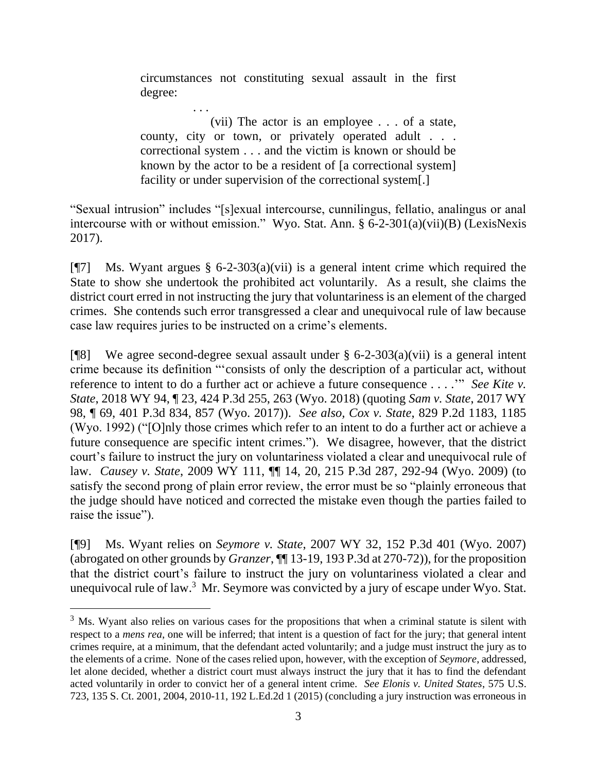circumstances not constituting sexual assault in the first degree:

. . .

(vii) The actor is an employee . . . of a state, county, city or town, or privately operated adult . . . correctional system . . . and the victim is known or should be known by the actor to be a resident of [a correctional system] facility or under supervision of the correctional system[.]

"Sexual intrusion" includes "[s]exual intercourse, cunnilingus, fellatio, analingus or anal intercourse with or without emission." Wyo. Stat. Ann. § 6-2-301(a)(vii)(B) (LexisNexis 2017).

[ $\sqrt{97}$ ] Ms. Wyant argues § 6-2-303(a)(vii) is a general intent crime which required the State to show she undertook the prohibited act voluntarily. As a result, she claims the district court erred in not instructing the jury that voluntariness is an element of the charged crimes. She contends such error transgressed a clear and unequivocal rule of law because case law requires juries to be instructed on a crime's elements.

[ $[$ [8] We agree second-degree sexual assault under § 6-2-303(a)(vii) is a general intent crime because its definition "'consists of only the description of a particular act, without reference to intent to do a further act or achieve a future consequence . . . .'" *See Kite v. State*, 2018 WY 94, ¶ 23, 424 P.3d 255, 263 (Wyo. 2018) (quoting *Sam v. State*, 2017 WY 98, ¶ 69, 401 P.3d 834, 857 (Wyo. 2017)). *See also, Cox v. State*, 829 P.2d 1183, 1185 (Wyo. 1992) ("[O]nly those crimes which refer to an intent to do a further act or achieve a future consequence are specific intent crimes."). We disagree, however, that the district court's failure to instruct the jury on voluntariness violated a clear and unequivocal rule of law. *Causey v. State*, 2009 WY 111, ¶¶ 14, 20, 215 P.3d 287, 292-94 (Wyo. 2009) (to satisfy the second prong of plain error review, the error must be so "plainly erroneous that the judge should have noticed and corrected the mistake even though the parties failed to raise the issue").

[¶9] Ms. Wyant relies on *Seymore v. State*, 2007 WY 32, 152 P.3d 401 (Wyo. 2007) (abrogated on other grounds by *Granzer*, ¶¶ 13-19, 193 P.3d at 270-72)), for the proposition that the district court's failure to instruct the jury on voluntariness violated a clear and unequivocal rule of law. $3$  Mr. Seymore was convicted by a jury of escape under Wyo. Stat.

<sup>&</sup>lt;sup>3</sup> Ms. Wyant also relies on various cases for the propositions that when a criminal statute is silent with respect to a *mens rea*, one will be inferred; that intent is a question of fact for the jury; that general intent crimes require, at a minimum, that the defendant acted voluntarily; and a judge must instruct the jury as to the elements of a crime. None of the cases relied upon, however, with the exception of *Seymore*, addressed, let alone decided, whether a district court must always instruct the jury that it has to find the defendant acted voluntarily in order to convict her of a general intent crime. *See Elonis v. United States*, 575 U.S. 723, 135 S. Ct. 2001, 2004, 2010-11, 192 L.Ed.2d 1 (2015) (concluding a jury instruction was erroneous in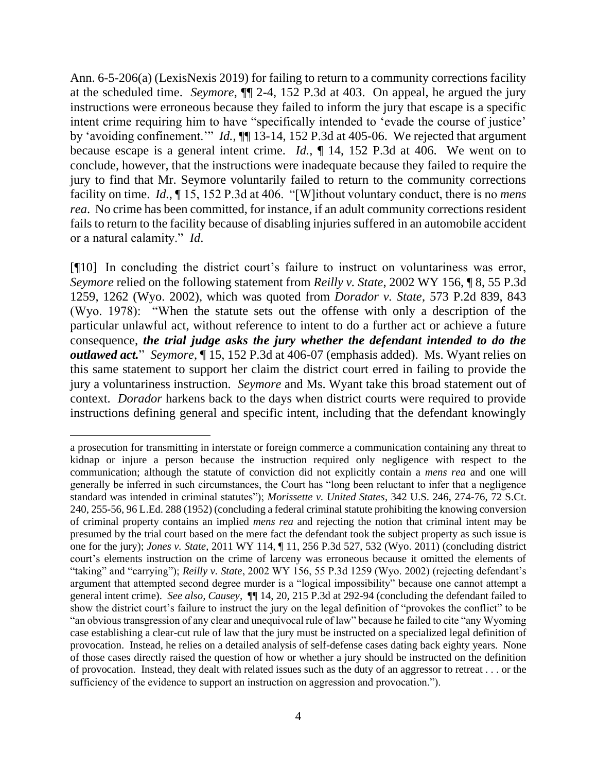Ann. 6-5-206(a) (LexisNexis 2019) for failing to return to a community corrections facility at the scheduled time. *Seymore*, ¶¶ 2-4, 152 P.3d at 403. On appeal, he argued the jury instructions were erroneous because they failed to inform the jury that escape is a specific intent crime requiring him to have "specifically intended to 'evade the course of justice' by 'avoiding confinement.'" *Id.*, ¶¶ 13-14, 152 P.3d at 405-06. We rejected that argument because escape is a general intent crime. *Id.*, ¶ 14, 152 P.3d at 406. We went on to conclude, however, that the instructions were inadequate because they failed to require the jury to find that Mr. Seymore voluntarily failed to return to the community corrections facility on time. *Id.*, ¶ 15, 152 P.3d at 406. "[W]ithout voluntary conduct, there is no *mens rea*. No crime has been committed, for instance, if an adult community corrections resident fails to return to the facility because of disabling injuries suffered in an automobile accident or a natural calamity." *Id*.

[¶10] In concluding the district court's failure to instruct on voluntariness was error, *Seymore* relied on the following statement from *Reilly v. State*, 2002 WY 156, ¶ 8, 55 P.3d 1259, 1262 (Wyo. 2002), which was quoted from *Dorador v. State*, 573 P.2d 839, 843 (Wyo. 1978): "When the statute sets out the offense with only a description of the particular unlawful act, without reference to intent to do a further act or achieve a future consequence, *the trial judge asks the jury whether the defendant intended to do the outlawed act.*" *Seymore*, ¶ 15, 152 P.3d at 406-07 (emphasis added). Ms. Wyant relies on this same statement to support her claim the district court erred in failing to provide the jury a voluntariness instruction. *Seymore* and Ms. Wyant take this broad statement out of context. *Dorador* harkens back to the days when district courts were required to provide instructions defining general and specific intent, including that the defendant knowingly

a prosecution for transmitting in interstate or foreign commerce a communication containing any threat to kidnap or injure a person because the instruction required only negligence with respect to the communication; although the statute of conviction did not explicitly contain a *mens rea* and one will generally be inferred in such circumstances, the Court has "long been reluctant to infer that a negligence standard was intended in criminal statutes"); *Morissette v. United States*, 342 U.S. 246, 274-76, 72 S.Ct. 240, 255-56, 96 L.Ed. 288 (1952) (concluding a federal criminal statute prohibiting the knowing conversion of criminal property contains an implied *mens rea* and rejecting the notion that criminal intent may be presumed by the trial court based on the mere fact the defendant took the subject property as such issue is one for the jury); *Jones v. State*, 2011 WY 114, ¶ 11, 256 P.3d 527, 532 (Wyo. 2011) (concluding district court's elements instruction on the crime of larceny was erroneous because it omitted the elements of "taking" and "carrying"); *Reilly v. State*, 2002 WY 156, 55 P.3d 1259 (Wyo. 2002) (rejecting defendant's argument that attempted second degree murder is a "logical impossibility" because one cannot attempt a general intent crime). *See also, Causey*, ¶¶ 14, 20, 215 P.3d at 292-94 (concluding the defendant failed to show the district court's failure to instruct the jury on the legal definition of "provokes the conflict" to be "an obvious transgression of any clear and unequivocal rule of law" because he failed to cite "any Wyoming case establishing a clear-cut rule of law that the jury must be instructed on a specialized legal definition of provocation. Instead, he relies on a detailed analysis of self-defense cases dating back eighty years. None of those cases directly raised the question of how or whether a jury should be instructed on the definition of provocation. Instead, they dealt with related issues such as the duty of an aggressor to retreat . . . or the sufficiency of the evidence to support an instruction on aggression and provocation.").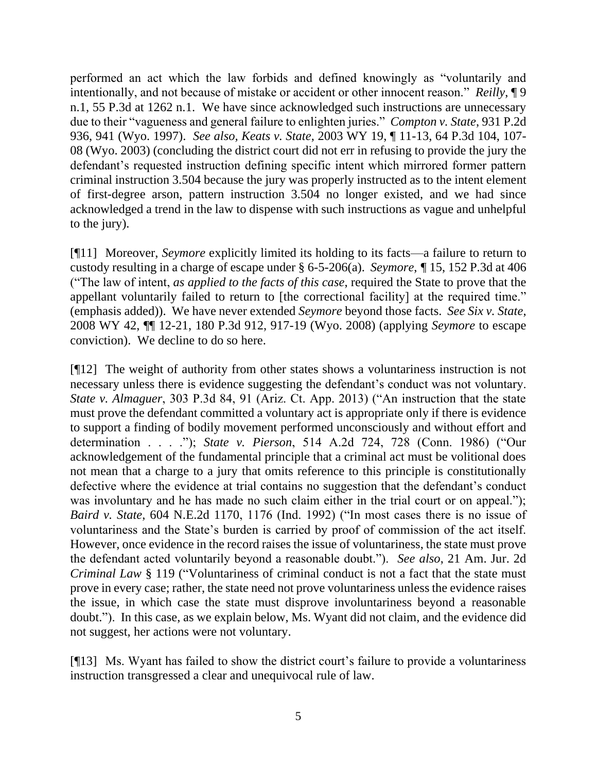performed an act which the law forbids and defined knowingly as "voluntarily and intentionally, and not because of mistake or accident or other innocent reason." *Reilly*, ¶ 9 n.1, 55 P.3d at 1262 n.1. We have since acknowledged such instructions are unnecessary due to their "vagueness and general failure to enlighten juries." *Compton v. State*, 931 P.2d 936, 941 (Wyo. 1997). *See also, Keats v. State*, 2003 WY 19, ¶ 11-13, 64 P.3d 104, 107- 08 (Wyo. 2003) (concluding the district court did not err in refusing to provide the jury the defendant's requested instruction defining specific intent which mirrored former pattern criminal instruction 3.504 because the jury was properly instructed as to the intent element of first-degree arson, pattern instruction 3.504 no longer existed, and we had since acknowledged a trend in the law to dispense with such instructions as vague and unhelpful to the jury).

[¶11] Moreover, *Seymore* explicitly limited its holding to its facts—a failure to return to custody resulting in a charge of escape under § 6-5-206(a). *Seymore*, *¶* 15, 152 P.3d at 406 ("The law of intent, *as applied to the facts of this case*, required the State to prove that the appellant voluntarily failed to return to [the correctional facility] at the required time." (emphasis added)). We have never extended *Seymore* beyond those facts. *See Six v. State*, 2008 WY 42, ¶¶ 12-21, 180 P.3d 912, 917-19 (Wyo. 2008) (applying *Seymore* to escape conviction). We decline to do so here.

[¶12] The weight of authority from other states shows a voluntariness instruction is not necessary unless there is evidence suggesting the defendant's conduct was not voluntary. *State v. Almaguer*, 303 P.3d 84, 91 (Ariz. Ct. App. 2013) ("An instruction that the state must prove the defendant committed a voluntary act is appropriate only if there is evidence to support a finding of bodily movement performed unconsciously and without effort and determination . . . ."); *State v. Pierson*, 514 A.2d 724, 728 (Conn. 1986) ("Our acknowledgement of the fundamental principle that a criminal act must be volitional does not mean that a charge to a jury that omits reference to this principle is constitutionally defective where the evidence at trial contains no suggestion that the defendant's conduct was involuntary and he has made no such claim either in the trial court or on appeal."); *Baird v. State*, 604 N.E.2d 1170, 1176 (Ind. 1992) ("In most cases there is no issue of voluntariness and the State's burden is carried by proof of commission of the act itself. However, once evidence in the record raises the issue of voluntariness, the state must prove the defendant acted voluntarily beyond a reasonable doubt."). *See also*, 21 Am. Jur. 2d *Criminal Law* § 119 ("Voluntariness of criminal conduct is not a fact that the state must prove in every case; rather, the state need not prove voluntariness unless the evidence raises the issue, in which case the state must disprove involuntariness beyond a reasonable doubt."). In this case, as we explain below, Ms. Wyant did not claim, and the evidence did not suggest, her actions were not voluntary.

[¶13] Ms. Wyant has failed to show the district court's failure to provide a voluntariness instruction transgressed a clear and unequivocal rule of law.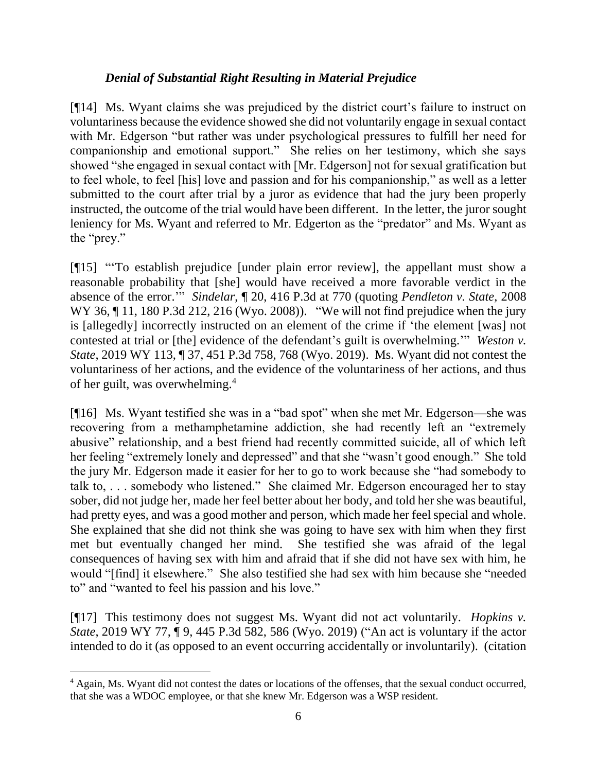# *Denial of Substantial Right Resulting in Material Prejudice*

[¶14] Ms. Wyant claims she was prejudiced by the district court's failure to instruct on voluntariness because the evidence showed she did not voluntarily engage in sexual contact with Mr. Edgerson "but rather was under psychological pressures to fulfill her need for companionship and emotional support." She relies on her testimony, which she says showed "she engaged in sexual contact with [Mr. Edgerson] not for sexual gratification but to feel whole, to feel [his] love and passion and for his companionship," as well as a letter submitted to the court after trial by a juror as evidence that had the jury been properly instructed, the outcome of the trial would have been different. In the letter, the juror sought leniency for Ms. Wyant and referred to Mr. Edgerton as the "predator" and Ms. Wyant as the "prey."

[¶15] "'To establish prejudice [under plain error review], the appellant must show a reasonable probability that [she] would have received a more favorable verdict in the absence of the error.'" *Sindelar*, ¶ 20, 416 P.3d at 770 (quoting *Pendleton v. State*, 2008 WY 36, ¶ 11, 180 P.3d 212, 216 (Wyo. 2008)). "We will not find prejudice when the jury is [allegedly] incorrectly instructed on an element of the crime if 'the element [was] not contested at trial or [the] evidence of the defendant's guilt is overwhelming.'" *Weston v. State*, 2019 WY 113, ¶ 37, 451 P.3d 758, 768 (Wyo. 2019). Ms. Wyant did not contest the voluntariness of her actions, and the evidence of the voluntariness of her actions, and thus of her guilt, was overwhelming.<sup>4</sup>

[¶16] Ms. Wyant testified she was in a "bad spot" when she met Mr. Edgerson—she was recovering from a methamphetamine addiction, she had recently left an "extremely abusive" relationship, and a best friend had recently committed suicide, all of which left her feeling "extremely lonely and depressed" and that she "wasn't good enough." She told the jury Mr. Edgerson made it easier for her to go to work because she "had somebody to talk to, . . . somebody who listened." She claimed Mr. Edgerson encouraged her to stay sober, did not judge her, made her feel better about her body, and told her she was beautiful, had pretty eyes, and was a good mother and person, which made her feel special and whole. She explained that she did not think she was going to have sex with him when they first met but eventually changed her mind. She testified she was afraid of the legal consequences of having sex with him and afraid that if she did not have sex with him, he would "[find] it elsewhere." She also testified she had sex with him because she "needed to" and "wanted to feel his passion and his love."

[¶17] This testimony does not suggest Ms. Wyant did not act voluntarily. *Hopkins v. State*, 2019 WY 77, ¶ 9, 445 P.3d 582, 586 (Wyo. 2019) ("An act is voluntary if the actor intended to do it (as opposed to an event occurring accidentally or involuntarily). (citation

<sup>&</sup>lt;sup>4</sup> Again, Ms. Wyant did not contest the dates or locations of the offenses, that the sexual conduct occurred, that she was a WDOC employee, or that she knew Mr. Edgerson was a WSP resident.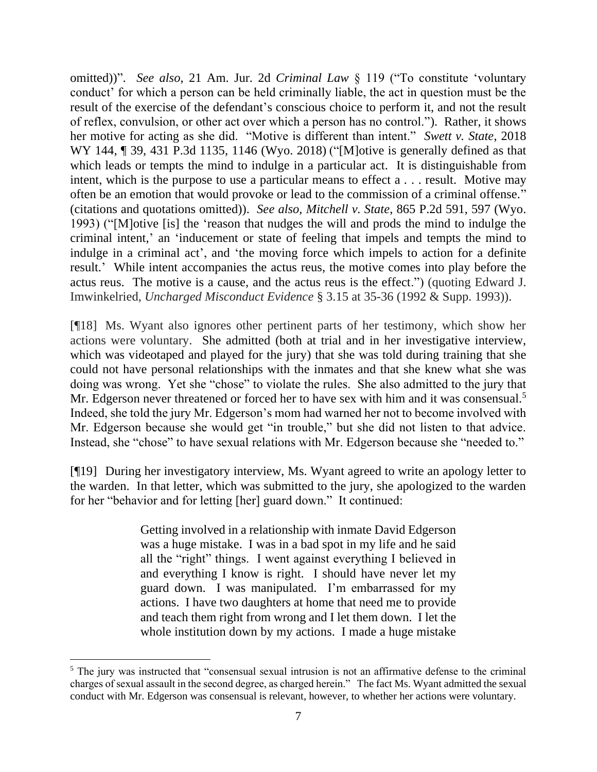omitted))". *See also*, 21 Am. Jur. 2d *Criminal Law* § 119 ("To constitute 'voluntary conduct' for which a person can be held criminally liable, the act in question must be the result of the exercise of the defendant's conscious choice to perform it, and not the result of reflex, convulsion, or other act over which a person has no control."). Rather, it shows her motive for acting as she did. "Motive is different than intent." *Swett v. State*, 2018 WY 144, 1 39, 431 P.3d 1135, 1146 (Wyo. 2018) ("Mortive is generally defined as that which leads or tempts the mind to indulge in a particular act. It is distinguishable from intent, which is the purpose to use a particular means to effect a . . . result. Motive may often be an emotion that would provoke or lead to the commission of a criminal offense." (citations and quotations omitted)). *See also, Mitchell v. State*, 865 P.2d 591, 597 (Wyo. 1993) ("[M]otive [is] the 'reason that nudges the will and prods the mind to indulge the criminal intent,' an 'inducement or state of feeling that impels and tempts the mind to indulge in a criminal act', and 'the moving force which impels to action for a definite result.' While intent accompanies the actus reus, the motive comes into play before the actus reus. The motive is a cause, and the actus reus is the effect.") (quoting Edward J. Imwinkelried, *Uncharged Misconduct Evidence* § 3.15 at 35-36 (1992 & Supp. 1993)).

[¶18] Ms. Wyant also ignores other pertinent parts of her testimony, which show her actions were voluntary. She admitted (both at trial and in her investigative interview, which was videotaped and played for the jury) that she was told during training that she could not have personal relationships with the inmates and that she knew what she was doing was wrong. Yet she "chose" to violate the rules. She also admitted to the jury that Mr. Edgerson never threatened or forced her to have sex with him and it was consensual.<sup>5</sup> Indeed, she told the jury Mr. Edgerson's mom had warned her not to become involved with Mr. Edgerson because she would get "in trouble," but she did not listen to that advice. Instead, she "chose" to have sexual relations with Mr. Edgerson because she "needed to."

[¶19] During her investigatory interview, Ms. Wyant agreed to write an apology letter to the warden. In that letter, which was submitted to the jury, she apologized to the warden for her "behavior and for letting [her] guard down." It continued:

> Getting involved in a relationship with inmate David Edgerson was a huge mistake. I was in a bad spot in my life and he said all the "right" things. I went against everything I believed in and everything I know is right. I should have never let my guard down. I was manipulated. I'm embarrassed for my actions. I have two daughters at home that need me to provide and teach them right from wrong and I let them down. I let the whole institution down by my actions. I made a huge mistake

<sup>&</sup>lt;sup>5</sup> The jury was instructed that "consensual sexual intrusion is not an affirmative defense to the criminal charges of sexual assault in the second degree, as charged herein." The fact Ms. Wyant admitted the sexual conduct with Mr. Edgerson was consensual is relevant, however, to whether her actions were voluntary.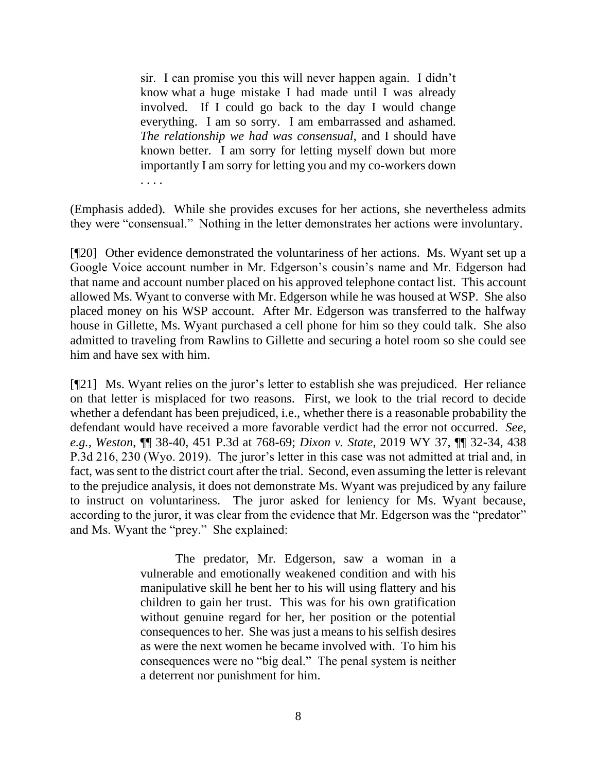sir. I can promise you this will never happen again. I didn't know what a huge mistake I had made until I was already involved. If I could go back to the day I would change everything. I am so sorry. I am embarrassed and ashamed. *The relationship we had was consensual*, and I should have known better. I am sorry for letting myself down but more importantly I am sorry for letting you and my co-workers down . . . .

(Emphasis added). While she provides excuses for her actions, she nevertheless admits they were "consensual." Nothing in the letter demonstrates her actions were involuntary.

[¶20] Other evidence demonstrated the voluntariness of her actions. Ms. Wyant set up a Google Voice account number in Mr. Edgerson's cousin's name and Mr. Edgerson had that name and account number placed on his approved telephone contact list. This account allowed Ms. Wyant to converse with Mr. Edgerson while he was housed at WSP. She also placed money on his WSP account. After Mr. Edgerson was transferred to the halfway house in Gillette, Ms. Wyant purchased a cell phone for him so they could talk. She also admitted to traveling from Rawlins to Gillette and securing a hotel room so she could see him and have sex with him.

[¶21] Ms. Wyant relies on the juror's letter to establish she was prejudiced. Her reliance on that letter is misplaced for two reasons. First, we look to the trial record to decide whether a defendant has been prejudiced, i.e., whether there is a reasonable probability the defendant would have received a more favorable verdict had the error not occurred. *See, e.g., Weston*, ¶¶ 38-40, 451 P.3d at 768-69; *Dixon v. State*, 2019 WY 37, ¶¶ 32-34, 438 P.3d 216, 230 (Wyo. 2019). The juror's letter in this case was not admitted at trial and, in fact, was sent to the district court after the trial. Second, even assuming the letter is relevant to the prejudice analysis, it does not demonstrate Ms. Wyant was prejudiced by any failure to instruct on voluntariness. The juror asked for leniency for Ms. Wyant because, according to the juror, it was clear from the evidence that Mr. Edgerson was the "predator" and Ms. Wyant the "prey." She explained:

> The predator, Mr. Edgerson, saw a woman in a vulnerable and emotionally weakened condition and with his manipulative skill he bent her to his will using flattery and his children to gain her trust. This was for his own gratification without genuine regard for her, her position or the potential consequences to her. She was just a means to his selfish desires as were the next women he became involved with. To him his consequences were no "big deal." The penal system is neither a deterrent nor punishment for him.